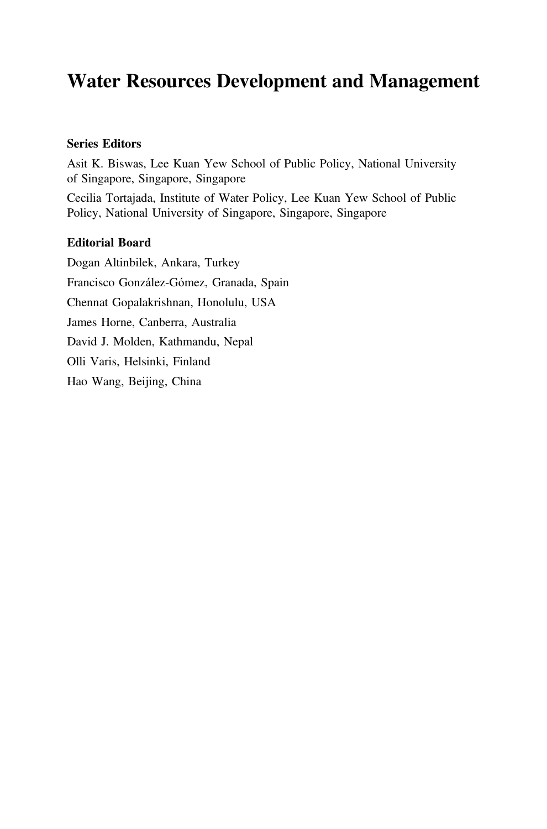## Water Resources Development and Management

### Series Editors

Asit K. Biswas, Lee Kuan Yew School of Public Policy, National University of Singapore, Singapore, Singapore

Cecilia Tortajada, Institute of Water Policy, Lee Kuan Yew School of Public Policy, National University of Singapore, Singapore, Singapore

### Editorial Board

Dogan Altinbilek, Ankara, Turkey Francisco González-Gómez, Granada, Spain Chennat Gopalakrishnan, Honolulu, USA James Horne, Canberra, Australia David J. Molden, Kathmandu, Nepal Olli Varis, Helsinki, Finland Hao Wang, Beijing, China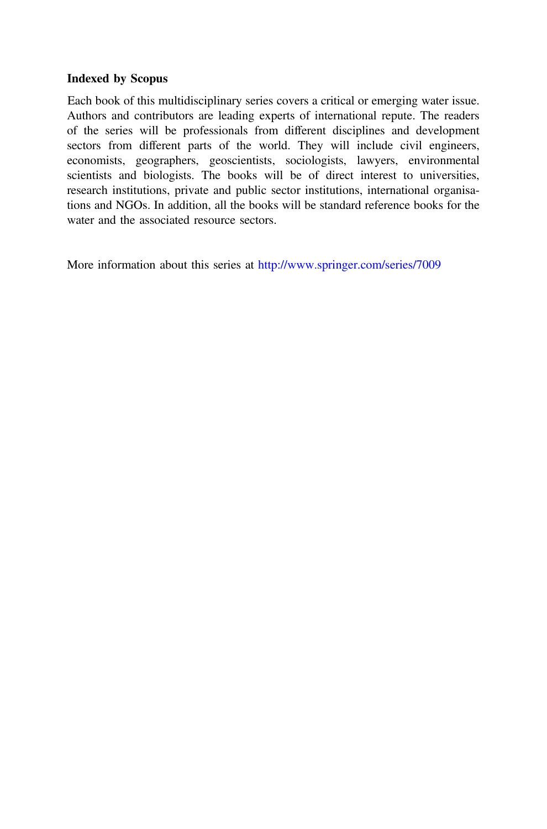### Indexed by Scopus

Each book of this multidisciplinary series covers a critical or emerging water issue. Authors and contributors are leading experts of international repute. The readers of the series will be professionals from different disciplines and development sectors from different parts of the world. They will include civil engineers, economists, geographers, geoscientists, sociologists, lawyers, environmental scientists and biologists. The books will be of direct interest to universities, research institutions, private and public sector institutions, international organisations and NGOs. In addition, all the books will be standard reference books for the water and the associated resource sectors.

More information about this series at <http://www.springer.com/series/7009>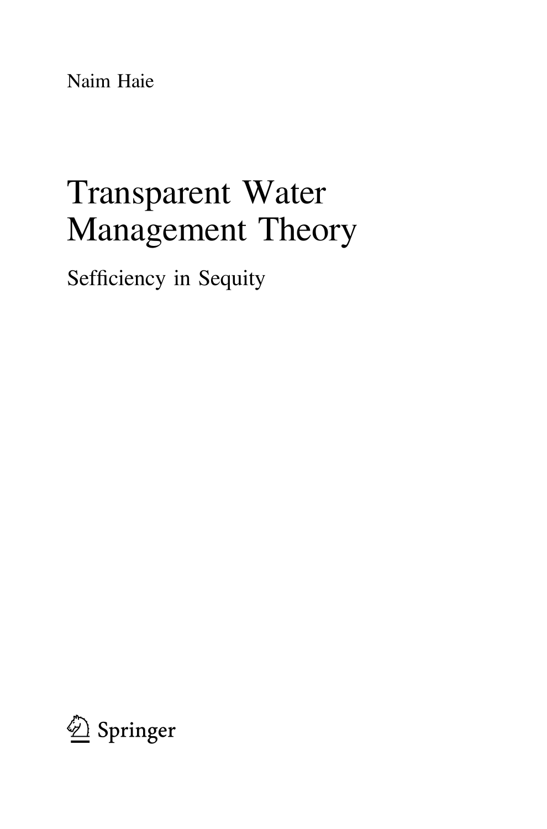Naim Haie

# Transparent Water Management Theory

Sefficiency in Sequity

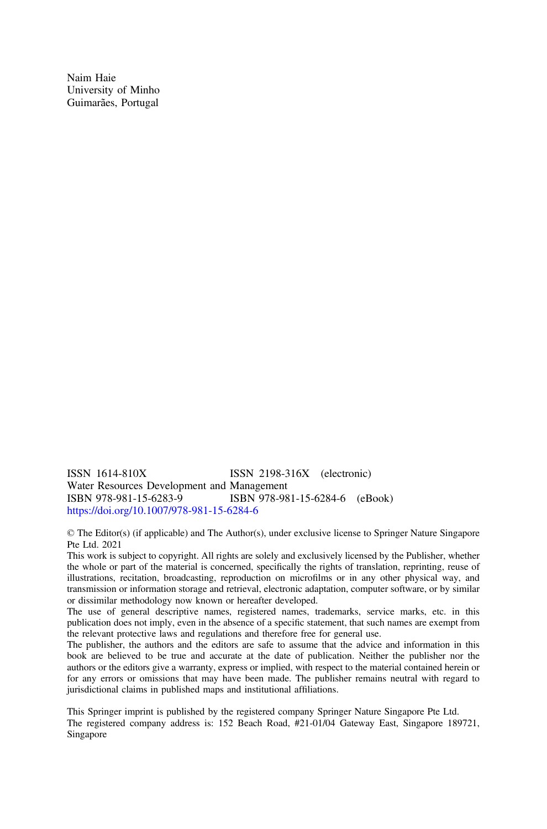Naim Haie University of Minho Guimarães, Portugal

ISSN 1614-810X ISSN 2198-316X (electronic) Water Resources Development and Management<br>ISBN 978-981-15-6283-9<br>ISBN 978-98 ISBN 978-981-15-6284-6 (eBook) <https://doi.org/10.1007/978-981-15-6284-6>

© The Editor(s) (if applicable) and The Author(s), under exclusive license to Springer Nature Singapore Pte Ltd. 2021

This work is subject to copyright. All rights are solely and exclusively licensed by the Publisher, whether the whole or part of the material is concerned, specifically the rights of translation, reprinting, reuse of illustrations, recitation, broadcasting, reproduction on microfilms or in any other physical way, and transmission or information storage and retrieval, electronic adaptation, computer software, or by similar or dissimilar methodology now known or hereafter developed.

The use of general descriptive names, registered names, trademarks, service marks, etc. in this publication does not imply, even in the absence of a specific statement, that such names are exempt from the relevant protective laws and regulations and therefore free for general use.

The publisher, the authors and the editors are safe to assume that the advice and information in this book are believed to be true and accurate at the date of publication. Neither the publisher nor the authors or the editors give a warranty, express or implied, with respect to the material contained herein or for any errors or omissions that may have been made. The publisher remains neutral with regard to jurisdictional claims in published maps and institutional affiliations.

This Springer imprint is published by the registered company Springer Nature Singapore Pte Ltd. The registered company address is: 152 Beach Road, #21-01/04 Gateway East, Singapore 189721, Singapore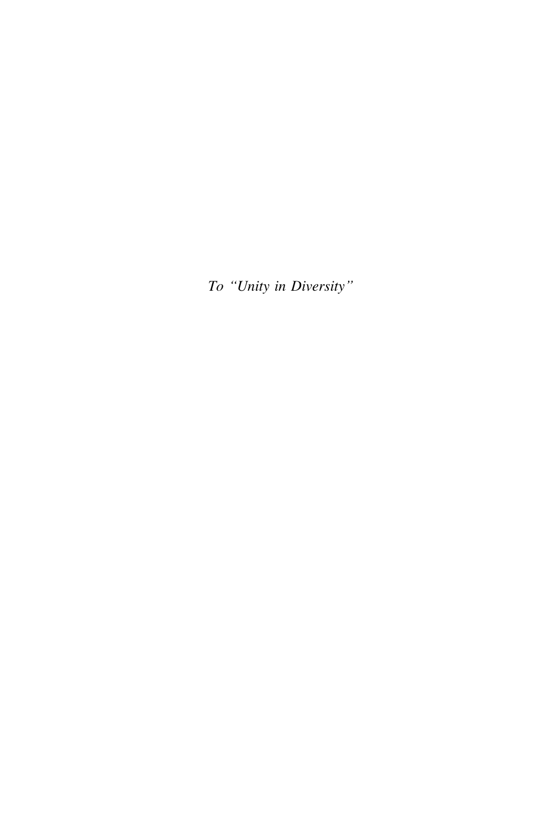To "Unity in Diversity"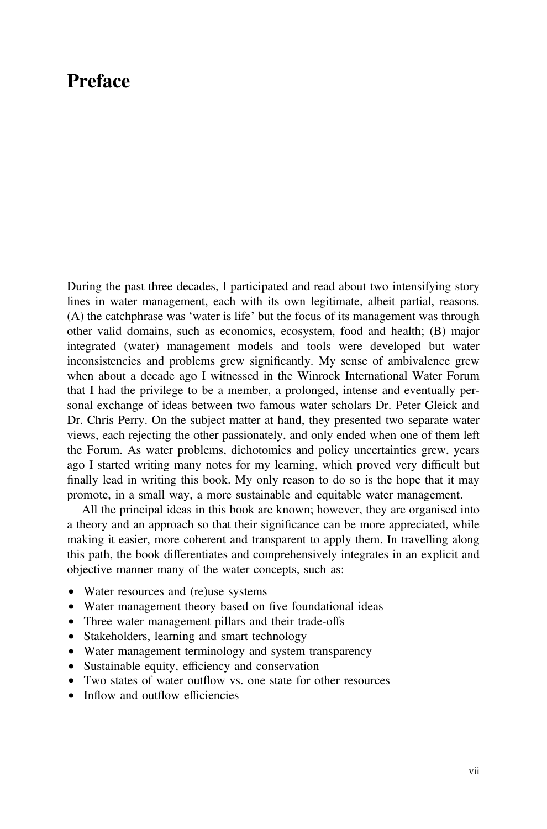### Preface

During the past three decades, I participated and read about two intensifying story lines in water management, each with its own legitimate, albeit partial, reasons. (A) the catchphrase was 'water is life' but the focus of its management was through other valid domains, such as economics, ecosystem, food and health; (B) major integrated (water) management models and tools were developed but water inconsistencies and problems grew significantly. My sense of ambivalence grew when about a decade ago I witnessed in the Winrock International Water Forum that I had the privilege to be a member, a prolonged, intense and eventually personal exchange of ideas between two famous water scholars Dr. Peter Gleick and Dr. Chris Perry. On the subject matter at hand, they presented two separate water views, each rejecting the other passionately, and only ended when one of them left the Forum. As water problems, dichotomies and policy uncertainties grew, years ago I started writing many notes for my learning, which proved very difficult but finally lead in writing this book. My only reason to do so is the hope that it may promote, in a small way, a more sustainable and equitable water management.

All the principal ideas in this book are known; however, they are organised into a theory and an approach so that their significance can be more appreciated, while making it easier, more coherent and transparent to apply them. In travelling along this path, the book differentiates and comprehensively integrates in an explicit and objective manner many of the water concepts, such as:

- Water resources and (re)use systems
- Water management theory based on five foundational ideas
- Three water management pillars and their trade-offs
- Stakeholders, learning and smart technology
- Water management terminology and system transparency
- Sustainable equity, efficiency and conservation
- Two states of water outflow vs. one state for other resources
- Inflow and outflow efficiencies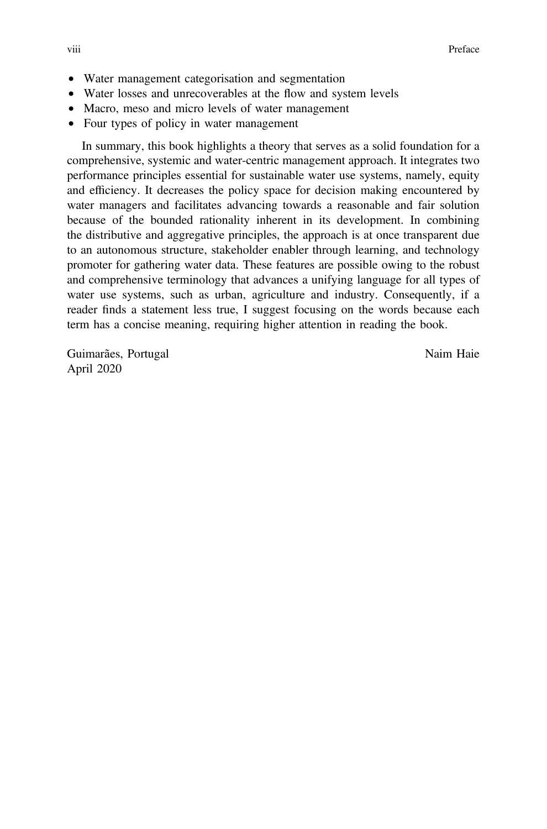- Water management categorisation and segmentation
- Water losses and unrecoverables at the flow and system levels
- Macro, meso and micro levels of water management
- Four types of policy in water management

In summary, this book highlights a theory that serves as a solid foundation for a comprehensive, systemic and water-centric management approach. It integrates two performance principles essential for sustainable water use systems, namely, equity and efficiency. It decreases the policy space for decision making encountered by water managers and facilitates advancing towards a reasonable and fair solution because of the bounded rationality inherent in its development. In combining the distributive and aggregative principles, the approach is at once transparent due to an autonomous structure, stakeholder enabler through learning, and technology promoter for gathering water data. These features are possible owing to the robust and comprehensive terminology that advances a unifying language for all types of water use systems, such as urban, agriculture and industry. Consequently, if a reader finds a statement less true, I suggest focusing on the words because each term has a concise meaning, requiring higher attention in reading the book.

Guimarães, Portugal April 2020

Naim Haie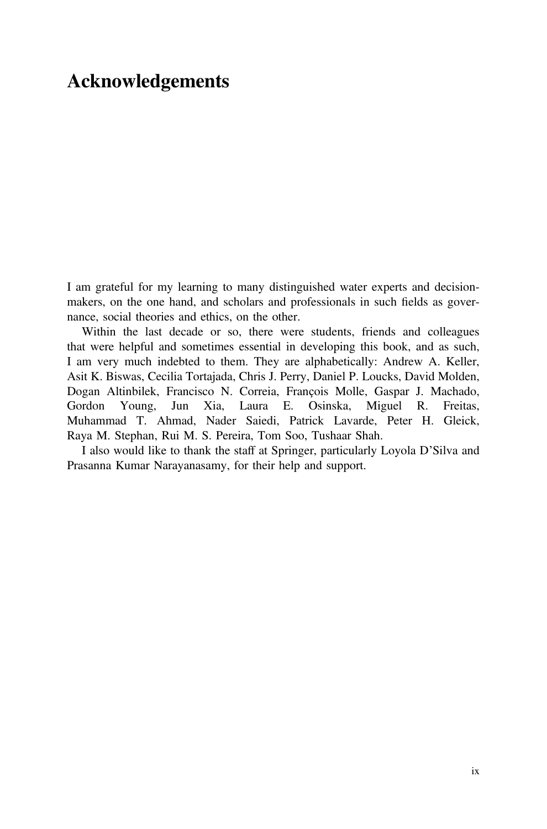### Acknowledgements

I am grateful for my learning to many distinguished water experts and decisionmakers, on the one hand, and scholars and professionals in such fields as governance, social theories and ethics, on the other.

Within the last decade or so, there were students, friends and colleagues that were helpful and sometimes essential in developing this book, and as such, I am very much indebted to them. They are alphabetically: Andrew A. Keller, Asit K. Biswas, Cecilia Tortajada, Chris J. Perry, Daniel P. Loucks, David Molden, Dogan Altinbilek, Francisco N. Correia, François Molle, Gaspar J. Machado, Gordon Young, Jun Xia, Laura E. Osinska, Miguel R. Freitas, Muhammad T. Ahmad, Nader Saiedi, Patrick Lavarde, Peter H. Gleick, Raya M. Stephan, Rui M. S. Pereira, Tom Soo, Tushaar Shah.

I also would like to thank the staff at Springer, particularly Loyola D'Silva and Prasanna Kumar Narayanasamy, for their help and support.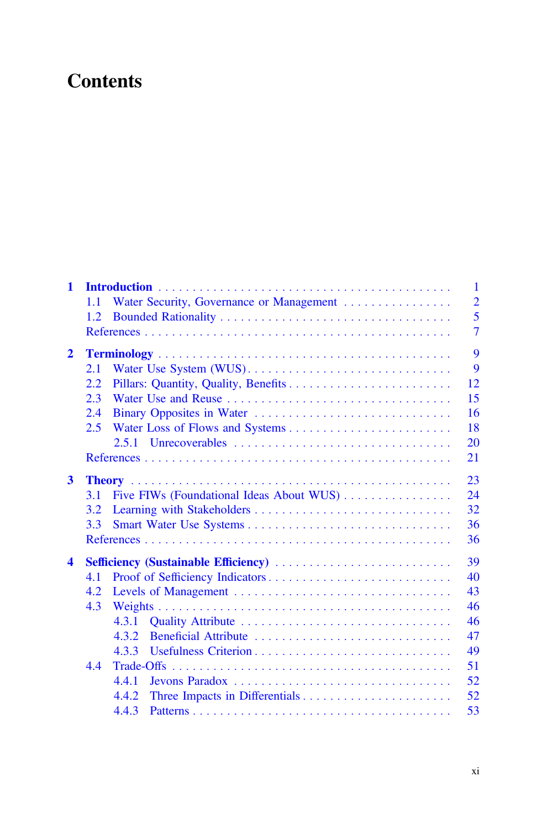## **Contents**

| 1                       |     |                                          | $\mathbf{1}$   |
|-------------------------|-----|------------------------------------------|----------------|
|                         | 1.1 | Water Security, Governance or Management | $\overline{2}$ |
|                         | 1.2 |                                          | 5              |
|                         |     |                                          | $\overline{7}$ |
| $\mathbf{2}$            |     |                                          | 9              |
|                         | 2.1 | Water Use System (WUS)                   | 9              |
|                         | 2.2 |                                          | 12             |
|                         | 2.3 |                                          | 15             |
|                         | 2.4 |                                          | 16             |
|                         | 2.5 |                                          | 18             |
|                         |     |                                          | 20             |
|                         |     |                                          | 21             |
| 3                       |     |                                          | 23             |
|                         | 3.1 | Five FIWs (Foundational Ideas About WUS) | 24             |
|                         | 3.2 |                                          | 32             |
|                         | 3.3 |                                          | 36             |
|                         |     |                                          | 36             |
| $\overline{\mathbf{4}}$ |     |                                          | 39             |
|                         |     | Sefficiency (Sustainable Efficiency)     | 40             |
|                         | 4.1 |                                          |                |
|                         | 4.2 |                                          | 43             |
|                         | 4.3 |                                          | 46             |
|                         |     | 4.3.1                                    | 46             |
|                         |     | 4.3.2<br>Beneficial Attribute            | 47             |
|                         |     | 4.3.3                                    | 49             |
|                         | 4.4 |                                          | 51             |
|                         |     | 4.4.1                                    | 52             |
|                         |     | 4.4.2                                    | 52             |
|                         |     | 4.4.3                                    | 53             |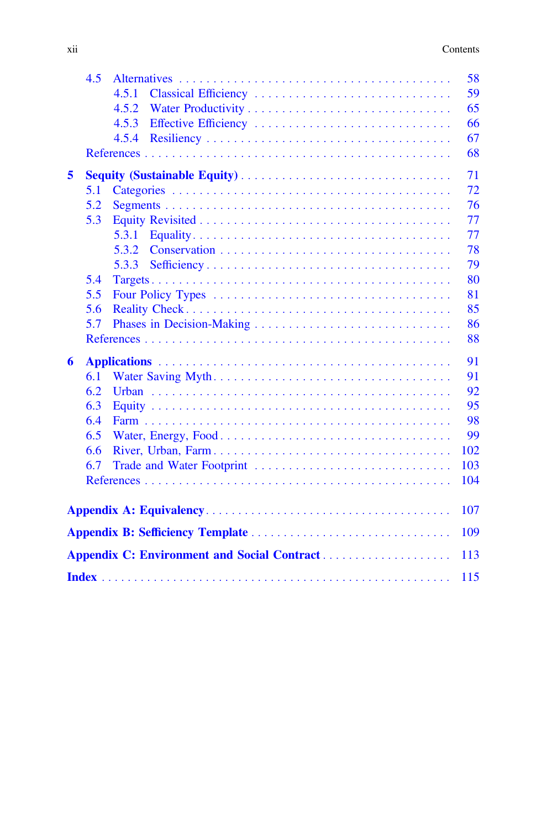|                                                    | 4.5 |                               | 58  |  |  |
|----------------------------------------------------|-----|-------------------------------|-----|--|--|
|                                                    |     | 4.5.1<br>Classical Efficiency | 59  |  |  |
|                                                    |     | 4.5.2                         | 65  |  |  |
|                                                    |     | 4.5.3<br>Effective Efficiency | 66  |  |  |
|                                                    |     | 4.5.4                         | 67  |  |  |
|                                                    |     |                               | 68  |  |  |
| 5                                                  |     |                               | 71  |  |  |
|                                                    | 5.1 |                               | 72  |  |  |
|                                                    | 5.2 |                               | 76  |  |  |
|                                                    | 5.3 |                               | 77  |  |  |
|                                                    |     |                               | 77  |  |  |
|                                                    |     |                               | 78  |  |  |
|                                                    |     |                               | 79  |  |  |
|                                                    | 5.4 |                               | 80  |  |  |
|                                                    | 5.5 |                               | 81  |  |  |
|                                                    | 5.6 |                               | 85  |  |  |
|                                                    | 5.7 |                               | 86  |  |  |
|                                                    |     |                               | 88  |  |  |
| 6                                                  |     |                               | 91  |  |  |
|                                                    | 6.1 |                               | 91  |  |  |
|                                                    | 6.2 |                               | 92  |  |  |
|                                                    | 6.3 |                               | 95  |  |  |
|                                                    | 6.4 |                               | 98  |  |  |
|                                                    | 6.5 |                               | 99  |  |  |
|                                                    | 6.6 |                               | 102 |  |  |
|                                                    | 6.7 | Trade and Water Footprint     | 103 |  |  |
|                                                    |     |                               | 104 |  |  |
| 107                                                |     |                               |     |  |  |
| 109                                                |     |                               |     |  |  |
| Appendix C: Environment and Social Contract<br>113 |     |                               |     |  |  |
|                                                    | 115 |                               |     |  |  |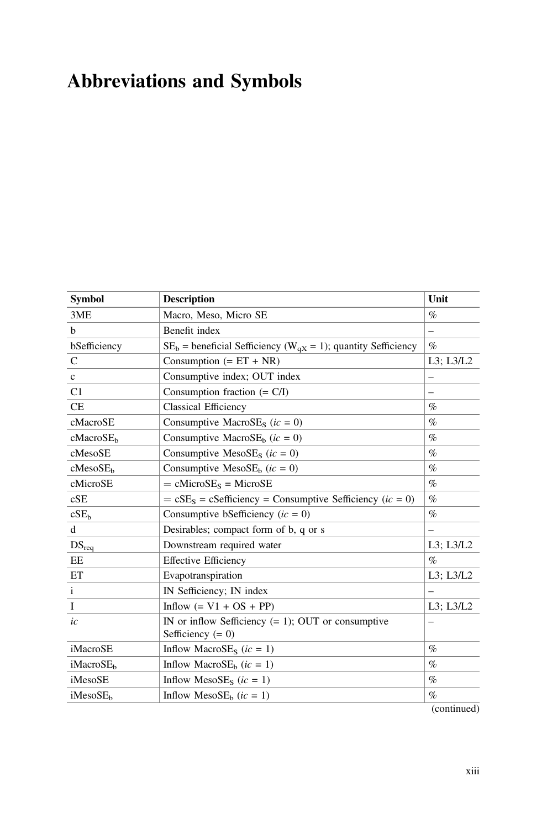## Abbreviations and Symbols

| <b>Symbol</b>           | <b>Description</b>                                                             | Unit                     |
|-------------------------|--------------------------------------------------------------------------------|--------------------------|
| 3ME                     | Macro, Meso, Micro SE                                                          | $\%$                     |
| b                       | Benefit index                                                                  | $\overline{\phantom{0}}$ |
| bSefficiency            | $SE_b$ = beneficial Sefficiency (W <sub>qX</sub> = 1); quantity Sefficiency    | $\%$                     |
| $\mathsf{C}$            | Consumption $(= ET + NR)$                                                      | $L3$ ; $L3/L2$           |
| $\mathbf c$             | Consumptive index; OUT index                                                   |                          |
| C <sub>1</sub>          | Consumption fraction $(= C/I)$                                                 |                          |
| CE                      | <b>Classical Efficiency</b>                                                    | $\%$                     |
| cMacroSE                | Consumptive MacroSE <sub>S</sub> ( $ic = 0$ )                                  | $\%$                     |
| cMaccoSE <sub>b</sub>   | Consumptive MacroSE <sub>b</sub> ( $ic = 0$ )                                  | $\%$                     |
| cMesoSE                 | Consumptive MesoSE <sub>S</sub> ( $ic = 0$ )                                   | $\%$                     |
| $c$ MesoSE <sub>b</sub> | Consumptive MesoSE <sub>b</sub> ( $ic = 0$ )                                   | $\%$                     |
| cMicroSE                | $=$ cMicroSE <sub>S</sub> = MicroSE                                            | $\%$                     |
| cSE                     | $=$ cSE <sub>S</sub> = cSefficiency = Consumptive Sefficiency ( <i>ic</i> = 0) | $\%$                     |
| cSE <sub>b</sub>        | Consumptive bSefficiency $(ic = 0)$                                            | $\%$                     |
| d                       | Desirables; compact form of b, q or s                                          |                          |
| DS <sub>req</sub>       | Downstream required water                                                      | L3; L3/L2                |
| EE                      | <b>Effective Efficiency</b>                                                    | $\%$                     |
| ET                      | Evapotranspiration                                                             | $L3$ ; $L3/L2$           |
| $\rm i$                 | IN Sefficiency; IN index                                                       | $\overline{\phantom{0}}$ |
| $\mathbf I$             | Inflow $(= V1 + OS + PP)$                                                      | L3; L3/L2                |
| ic                      | IN or inflow Sefficiency $(= 1)$ ; OUT or consumptive<br>Sefficiency $(= 0)$   |                          |
| iMacroSE                | Inflow MacroSE <sub>s</sub> ( $ic = 1$ )                                       | $\%$                     |
| $i$ Macro $SEb$         | Inflow MacroSE <sub>b</sub> ( $ic = 1$ )                                       | $\%$                     |
| iMesoSE                 | Inflow MesoSE <sub>S</sub> $(ic = 1)$                                          | $\%$                     |
| iMesoSE <sub>b</sub>    | Inflow MesoSE <sub>b</sub> $(ic = 1)$                                          | $\%$                     |

(continued)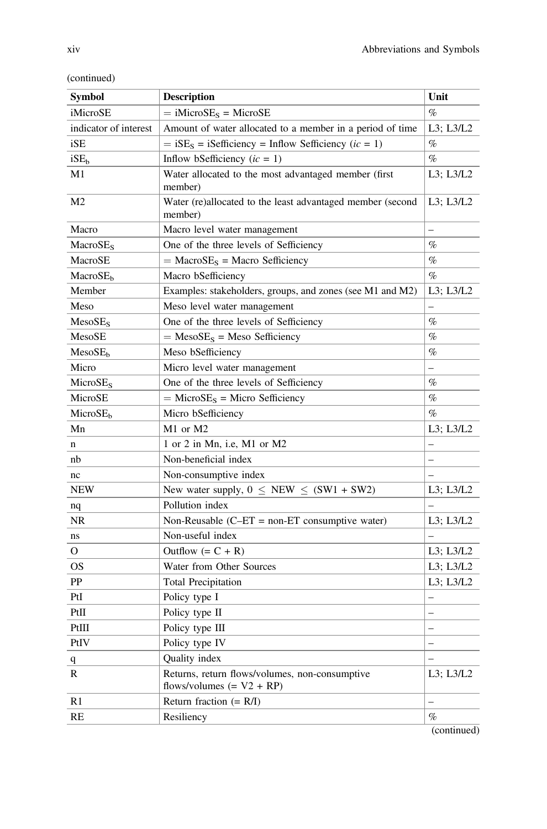| <b>Symbol</b>         | Description                                                                   | Unit                     |
|-----------------------|-------------------------------------------------------------------------------|--------------------------|
| iMicroSE              | $=$ iMicroSE <sub>S</sub> = MicroSE                                           | $\%$                     |
| indicator of interest | Amount of water allocated to a member in a period of time                     | $L3$ ; $L3/L2$           |
| iSE                   | $=$ iSE <sub>S</sub> = iSefficiency = Inflow Sefficiency ( <i>ic</i> = 1)     | $\%$                     |
| iSE <sub>b</sub>      | Inflow bSefficiency $(ic = 1)$                                                | $\%$                     |
| M1                    | Water allocated to the most advantaged member (first<br>member)               | L3; L3/L2                |
| M <sub>2</sub>        | Water (re)allocated to the least advantaged member (second<br>member)         | $L3$ ; $L3/L2$           |
| Macro                 | Macro level water management                                                  | $\overline{a}$           |
| MacroSE <sub>S</sub>  | One of the three levels of Sefficiency                                        | $\%$                     |
| MacroSE               | $=$ MacroSE <sub>S</sub> = Macro Sefficiency                                  | $\%$                     |
| MaccoSE <sub>b</sub>  | Macro bSefficiency                                                            | $\%$                     |
| Member                | Examples: stakeholders, groups, and zones (see M1 and M2)                     | $L3$ ; $L3/L2$           |
| Meso                  | Meso level water management                                                   | $\overline{a}$           |
| MessageS              | One of the three levels of Sefficiency                                        | $\%$                     |
| MesoSE                | $=$ MesoSE <sub>S</sub> = Meso Sefficiency                                    | $\%$                     |
| MesoSE <sub>b</sub>   | Meso bSefficiency                                                             | $\%$                     |
| Micro                 | Micro level water management                                                  | $\overline{a}$           |
| MicroSE <sub>s</sub>  | One of the three levels of Sefficiency                                        | $\%$                     |
| MicroSE               | $=$ MicroSE <sub>S</sub> = Micro Sefficiency                                  | $\%$                     |
| MicroSE <sub>b</sub>  | Micro bSefficiency                                                            | $\%$                     |
| Mn                    | M1 or M2                                                                      | $L3$ ; $L3/L2$           |
| $\mathbf n$           | 1 or 2 in Mn, i.e, M1 or $M2$                                                 | $\overline{\phantom{0}}$ |
| nb                    | Non-beneficial index                                                          | $\overline{\phantom{0}}$ |
| nc                    | Non-consumptive index                                                         |                          |
| <b>NEW</b>            | New water supply, $0 \leq NEW \leq (SW1 + SW2)$                               | $L3$ ; $L3/L2$           |
| nq                    | Pollution index                                                               |                          |
| NR                    | Non-Reusable ( $C$ -ET = non-ET consumptive water)                            | $L3$ ; $L3/L2$           |
| ns                    | Non-useful index                                                              |                          |
| O                     | Outflow $(= C + R)$                                                           | $L3$ ; $L3/L2$           |
| <b>OS</b>             | Water from Other Sources                                                      | L3; L3/L2                |
| PP                    | <b>Total Precipitation</b>                                                    | L3; L3/L2                |
| PtI                   | Policy type I                                                                 | $\equiv$                 |
| PtII                  | Policy type II                                                                | $\overline{\phantom{0}}$ |
| PtIII                 | Policy type III                                                               | $\overline{\phantom{0}}$ |
| PtIV                  | Policy type IV                                                                |                          |
| q                     | Quality index                                                                 |                          |
| $\mathbb{R}$          | Returns, return flows/volumes, non-consumptive<br>flows/volumes $(= V2 + RP)$ | L3; L3/L2                |
| R1                    | Return fraction $(= R/I)$                                                     |                          |
| <b>RE</b>             | Resiliency                                                                    | $\%$                     |
|                       |                                                                               |                          |

(continued)

(continued)